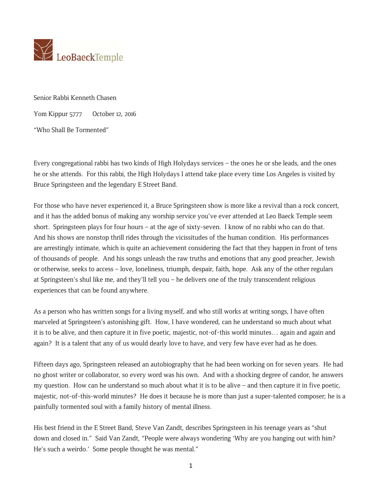

Senior Rabbi Kenneth Chasen

Yom Kippur 5777 October 12, 2016

"Who Shall Be Tormented"

Every congregational rabbi has two kinds of High Holydays services – the ones he or she leads, and the ones he or she attends. For this rabbi, the High Holydays I attend take place every time Los Angeles is visited by Bruce Springsteen and the legendary E Street Band.

For those who have never experienced it, a Bruce Springsteen show is more like a revival than a rock concert, and it has the added bonus of making any worship service you've ever attended at Leo Baeck Temple seem short. Springsteen plays for four hours – at the age of sixty-seven. I know of no rabbi who can do that. And his shows are nonstop thrill rides through the vicissitudes of the human condition. His performances are arrestingly intimate, which is quite an achievement considering the fact that they happen in front of tens of thousands of people. And his songs unleash the raw truths and emotions that any good preacher, Jewish or otherwise, seeks to access – love, loneliness, triumph, despair, faith, hope. Ask any of the other regulars at Springsteen's shul like me, and they'll tell you – he delivers one of the truly transcendent religious experiences that can be found anywhere.

As a person who has written songs for a living myself, and who still works at writing songs, I have often marveled at Springsteen's astonishing gift. How, I have wondered, can he understand so much about what it is to be alive, and then capture it in five poetic, majestic, not-of-this world minutes… again and again and again? It is a talent that any of us would dearly love to have, and very few have ever had as he does.

Fifteen days ago, Springsteen released an autobiography that he had been working on for seven years. He had no ghost writer or collaborator, so every word was his own. And with a shocking degree of candor, he answers my question. How can he understand so much about what it is to be alive – and then capture it in five poetic, majestic, not-of-this-world minutes? He does it because he is more than just a super-talented composer; he is a painfully tormented soul with a family history of mental illness.

His best friend in the E Street Band, Steve Van Zandt, describes Springsteen in his teenage years as "shut down and closed in." Said Van Zandt, "People were always wondering 'Why are you hanging out with him? He's such a weirdo.' Some people thought he was mental."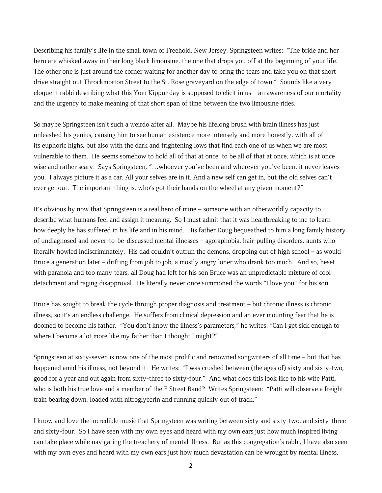Describing his family's life in the small town of Freehold, New Jersey, Springsteen writes: "The bride and her hero are whisked away in their long black limousine, the one that drops you off at the beginning of your life. The other one is just around the corner waiting for another day to bring the tears and take you on that short drive straight out Throckmorton Street to the St. Rose graveyard on the edge of town." Sounds like a very eloquent rabbi describing what this Yom Kippur day is supposed to elicit in us – an awareness of our mortality and the urgency to make meaning of that short span of time between the two limousine rides.

So maybe Springsteen isn't such a weirdo after all. Maybe his lifelong brush with brain illness has just unleashed his genius, causing him to see human existence more intensely and more honestly, with all of its euphoric highs, but also with the dark and frightening lows that find each one of us when we are most vulnerable to them. He seems somehow to hold all of that at once, to be all of that at once, which is at once wise and rather scary. Says Springsteen, "...whoever you've been and wherever you've been, it never leaves you. I always picture it as a car. All your selves are in it. And a new self can get in, but the old selves can't ever get out. The important thing is, who's got their hands on the wheel at any given moment?"

It's obvious by now that Springsteen is a real hero of mine – someone with an otherworldly capacity to describe what humans feel and assign it meaning. So I must admit that it was heartbreaking to me to learn how deeply he has suffered in his life and in his mind. His father Doug bequeathed to him a long family history of undiagnosed and never-to-be-discussed mental illnesses – agoraphobia, hair-pulling disorders, aunts who literally howled indiscriminately. His dad couldn't outrun the demons, dropping out of high school – as would Bruce a generation later – drifting from job to job, a mostly angry loner who drank too much. And so, beset with paranoia and too many tears, all Doug had left for his son Bruce was an unpredictable mixture of cool detachment and raging disapproval. He literally never once summoned the words "I love you" for his son.

Bruce has sought to break the cycle through proper diagnosis and treatment – but chronic illness is chronic illness, so it's an endless challenge. He suffers from clinical depression and an ever mounting fear that he is doomed to become his father. "You don't know the illness's parameters," he writes. "Can I get sick enough to where I become a lot more like my father than I thought I might?"

Springsteen at sixty-seven is now one of the most prolific and renowned songwriters of all time – but that has happened amid his illness, not beyond it. He writes: "I was crushed between (the ages of) sixty and sixty-two, good for a year and out again from sixty-three to sixty-four." And what does this look like to his wife Patti, who is both his true love and a member of the E Street Band? Writes Springsteen: "Patti will observe a freight train bearing down, loaded with nitroglycerin and running quickly out of track."

I know and love the incredible music that Springsteen was writing between sixty and sixty-two, and sixty-three and sixty-four. So I have seen with my own eyes and heard with my own ears just how much inspired living can take place while navigating the treachery of mental illness. But as this congregation's rabbi, I have also seen with my own eyes and heard with my own ears just how much devastation can be wrought by mental illness.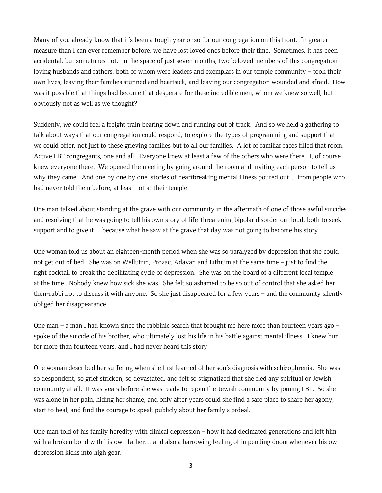Many of you already know that it's been a tough year or so for our congregation on this front. In greater measure than I can ever remember before, we have lost loved ones before their time. Sometimes, it has been accidental, but sometimes not. In the space of just seven months, two beloved members of this congregation – loving husbands and fathers, both of whom were leaders and exemplars in our temple community – took their own lives, leaving their families stunned and heartsick, and leaving our congregation wounded and afraid. How was it possible that things had become that desperate for these incredible men, whom we knew so well, but obviously not as well as we thought?

Suddenly, *we* could feel a freight train bearing down and running out of track. And so we held a gathering to talk about ways that our congregation could respond, to explore the types of programming and support that we could offer, not just to these grieving families but to all our families. A lot of familiar faces filled that room. Active LBT congregants, one and all. Everyone knew at least a few of the others who were there. I, of course, knew everyone there. We opened the meeting by going around the room and inviting each person to tell us why they came. And one by one by one, stories of heartbreaking mental illness poured out… from people who had never told them before, at least not at their temple.

One man talked about standing at the grave with our community in the aftermath of one of those awful suicides and resolving that he was going to tell his own story of life-threatening bipolar disorder out loud, both to seek support and to give it… because what he saw at the grave that day was not going to become his story.

One woman told us about an eighteen-month period when she was so paralyzed by depression that she could not get out of bed. She was on Wellutrin, Prozac, Adavan and Lithium at the same time – just to find the right cocktail to break the debilitating cycle of depression. She was on the board of a different local temple at the time. Nobody knew how sick she was. She felt so ashamed to be so out of control that she asked her then-rabbi not to discuss it with anyone. So she just disappeared for a few years – and the community silently obliged her disappearance.

One man – a man I had known since the rabbinic search that brought me here more than fourteen years ago – spoke of the suicide of his brother, who ultimately lost his life in his battle against mental illness. I knew him for more than fourteen years, and I had never heard this story.

One woman described her suffering when she first learned of her son's diagnosis with schizophrenia. She was so despondent, so grief stricken, so devastated, and felt so stigmatized that she fled any spiritual or Jewish community at all. It was years before she was ready to rejoin the Jewish community by joining LBT. So she was alone in her pain, hiding her shame, and only after years could she find a safe place to share her agony, start to heal, and find the courage to speak publicly about her family's ordeal.

One man told of his family heredity with clinical depression – how it had decimated generations and left him with a broken bond with his own father… and also a harrowing feeling of impending doom whenever his own depression kicks into high gear.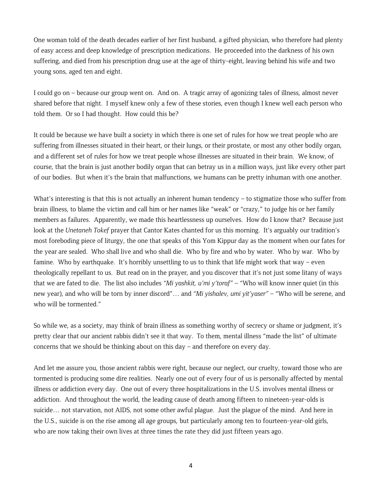One woman told of the death decades earlier of her first husband, a gifted physician, who therefore had plenty of easy access and deep knowledge of prescription medications. He proceeded into the darkness of his own suffering, and died from his prescription drug use at the age of thirty-eight, leaving behind his wife and two young sons, aged ten and eight.

I could go on – because our group went on. And on. A tragic array of agonizing tales of illness, almost never shared before that night. I myself knew only a few of these stories, even though I knew well each person who told them. Or so I had thought. How could this be?

It could be because we have built a society in which there is one set of rules for how we treat people who are suffering from illnesses situated in their heart, or their lungs, or their prostate, or most any other bodily organ, and a different set of rules for how we treat people whose illnesses are situated in their brain. We know, of course, that the brain is just another bodily organ that can betray us in a million ways, just like every other part of our bodies. But when it's the brain that malfunctions, we humans can be pretty inhuman with one another.

What's interesting is that this is not actually an inherent human tendency – to stigmatize those who suffer from brain illness, to blame the victim and call him or her names like "weak" or "crazy," to judge his or her family members as failures. Apparently, we made this heartlessness up ourselves. How do I know that? Because just look at the *Unetaneh Tokef* prayer that Cantor Kates chanted for us this morning. It's arguably our tradition's most foreboding piece of liturgy, the one that speaks of this Yom Kippur day as the moment when our fates for the year are sealed. Who shall live and who shall die. Who by fire and who by water. Who by war. Who by famine. Who by earthquake. It's horribly unsettling to us to think that life might work that way – even theologically repellant to us. But read on in the prayer, and you discover that it's not just some litany of ways that we are fated to die. The list also includes *"Mi yashkit, u'mi y'toraf"* – "Who will know inner quiet (in this new year), and who will be torn by inner discord"… and *"Mi yishalev, umi yit'yaser"* – "Who will be serene, and who will be tormented."

So while we, as a society, may think of brain illness as something worthy of secrecy or shame or judgment, it's pretty clear that our ancient rabbis didn't see it that way. To them, mental illness "made the list" of ultimate concerns that we should be thinking about on this day – and therefore on every day.

And let me assure you, those ancient rabbis were right, because our neglect, our cruelty, toward those who are tormented is producing some dire realities. Nearly one out of every four of us is personally affected by mental illness or addiction every day. One out of every three hospitalizations in the U.S. involves mental illness or addiction. And throughout the world, the leading cause of death among fifteen to nineteen-year-olds is suicide… not starvation, not AIDS, not some other awful plague. Just the plague of the mind. And here in the U.S., suicide is on the rise among all age groups, but particularly among ten to fourteen-year-old girls, who are now taking their own lives at three times the rate they did just fifteen years ago.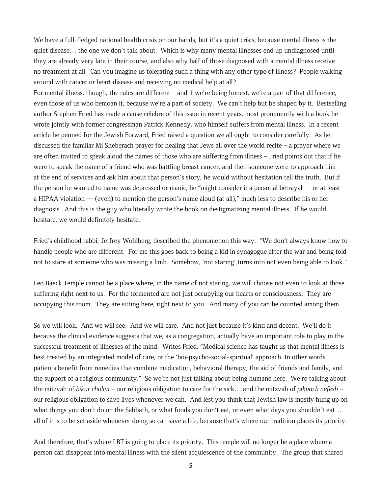We have a full-fledged national health crisis on our hands, but it's a quiet crisis, because mental illness is the quiet disease… the one we don't talk about. Which is why many mental illnesses end up undiagnosed until they are already very late in their course, and also why half of those diagnosed with a mental illness receive no treatment at all. Can you imagine us tolerating such a thing with any other type of illness? People walking around with cancer or heart disease and receiving no medical help at all?

For mental illness, though, the rules are different – and if we're being honest, we're a part of that difference, even those of us who bemoan it, because we're a part of society. We can't help but be shaped by it. Bestselling author Stephen Fried has made a cause célèbre of this issue in recent years, most prominently with a book he wrote jointly with former congressman Patrick Kennedy, who himself suffers from mental illness. In a recent article he penned for the Jewish Forward, Fried raised a question we all ought to consider carefully. As he discussed the familiar Mi Sheberach prayer for healing that Jews all over the world recite – a prayer where we are often invited to speak aloud the names of those who are suffering from illness – Fried points out that if he were to speak the name of a friend who was battling breast cancer, and then someone were to approach him at the end of services and ask him about that person's story, he would without hesitation tell the truth. But if the person he wanted to name was depressed or manic, he "might consider it a personal betrayal — or at least a HIPAA violation — (even) to mention the person's name aloud (at all)," much less to describe his or her diagnosis. And this is the guy who literally wrote the book on destigmatizing mental illness. If he would hesitate, we would definitely hesitate.

Fried's childhood rabbi, Jeffrey Wohlberg, described the phenomenon this way: "We don't always know how to handle people who are different. For me this goes back to being a kid in synagogue after the war and being told not to stare at someone who was missing a limb. Somehow, 'not staring' turns into not even being able to look."

Leo Baeck Temple cannot be a place where, in the name of not staring, we will choose not even to look at those suffering right next to us. For the tormented are not just occupying our hearts or consciousness. They are occupying this room. They are sitting here, right next to you. And many of you can be counted among them.

So we will look. And we will see. And we will care. And not just because it's kind and decent. We'll do it because the clinical evidence suggests that we, as a congregation, actually have an important role to play in the successful treatment of illnesses of the mind. Writes Fried, "Medical science has taught us that mental illness is best treated by an integrated model of care, or the 'bio-psycho-social-spiritual' approach. In other words, patients benefit from remedies that combine medication, behavioral therapy, the aid of friends and family, and the support of a religious community." So we're not just talking about being humane here. We're talking about the mitzvah of *bikur cholim* – our religious obligation to care for the sick… and the mitzvah of *pikuach nefesh* – our religious obligation to save lives whenever we can. And lest you think that Jewish law is mostly hung up on what things you don't do on the Sabbath, or what foods you don't eat, or even what days you shouldn't eat... all of it is to be set aside whenever doing so can save a life, because that's where our tradition places its priority.

And therefore, that's where LBT is going to place its priority. This temple will no longer be a place where a person can disappear into mental illness with the silent acquiescence of the community. The group that shared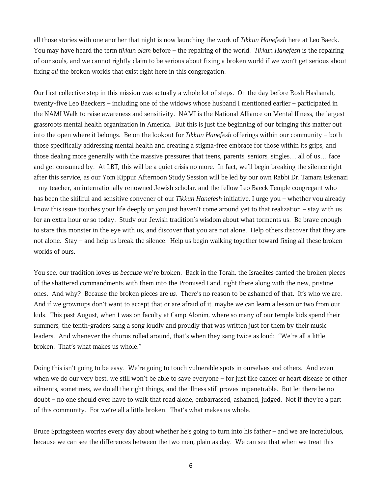all those stories with one another that night is now launching the work of *Tikkun Hanefesh* here at Leo Baeck. You may have heard the term *tikkun olam* before – the repairing of the world. *Tikkun Hanefesh* is the repairing of our souls, and we cannot rightly claim to be serious about fixing a broken world if we won't get serious about fixing *all* the broken worlds that exist right here in this congregation.

Our first collective step in this mission was actually a whole lot of steps. On the day before Rosh Hashanah, twenty-five Leo Baeckers – including one of the widows whose husband I mentioned earlier – participated in the NAMI Walk to raise awareness and sensitivity. NAMI is the National Alliance on Mental Illness, the largest grassroots mental health organization in America. But this is just the beginning of our bringing this matter out into the open where it belongs. Be on the lookout for *Tikkun Hanefesh* offerings within our community – both those specifically addressing mental health and creating a stigma-free embrace for those within its grips, and those dealing more generally with the massive pressures that teens, parents, seniors, singles… all of us… face and get consumed by. At LBT, this will be a quiet crisis no more. In fact, we'll begin breaking the silence right after this service, as our Yom Kippur Afternoon Study Session will be led by our own Rabbi Dr. Tamara Eskenazi – my teacher, an internationally renowned Jewish scholar, and the fellow Leo Baeck Temple congregant who has been the skillful and sensitive convener of our *Tikkun Hanefesh* initiative. I urge you – whether you already know this issue touches your life deeply or you just haven't come around yet to that realization – stay with us for an extra hour or so today. Study our Jewish tradition's wisdom about what torments us. Be brave enough to stare this monster in the eye with us, and discover that you are not alone. Help others discover that they are not alone. Stay – and help us break the silence. Help us begin walking together toward fixing all these broken worlds of ours.

You see, our tradition loves us *because* we're broken. Back in the Torah, the Israelites carried the broken pieces of the shattered commandments with them into the Promised Land, right there along with the new, pristine ones. And why? Because the broken pieces are *us.* There's no reason to be ashamed of that. It's who we are. And if we grownups don't want to accept that or are afraid of it, maybe we can learn a lesson or two from our kids. This past August, when I was on faculty at Camp Alonim, where so many of our temple kids spend their summers, the tenth-graders sang a song loudly and proudly that was written just for them by their music leaders. And whenever the chorus rolled around, that's when they sang twice as loud: "We're all a little broken. That's what makes us whole."

Doing this isn't going to be easy. We're going to touch vulnerable spots in ourselves and others. And even when we do our very best, we still won't be able to save everyone – for just like cancer or heart disease or other ailments, sometimes, we do all the right things, and the illness still proves impenetrable. But let there be no doubt – no one should ever have to walk that road alone, embarrassed, ashamed, judged. Not if they're a part of this community. For we're all a little broken. That's what makes us whole.

Bruce Springsteen worries every day about whether he's going to turn into his father – and we are incredulous, because we can see the differences between the two men, plain as day. We can see that when we treat this

6